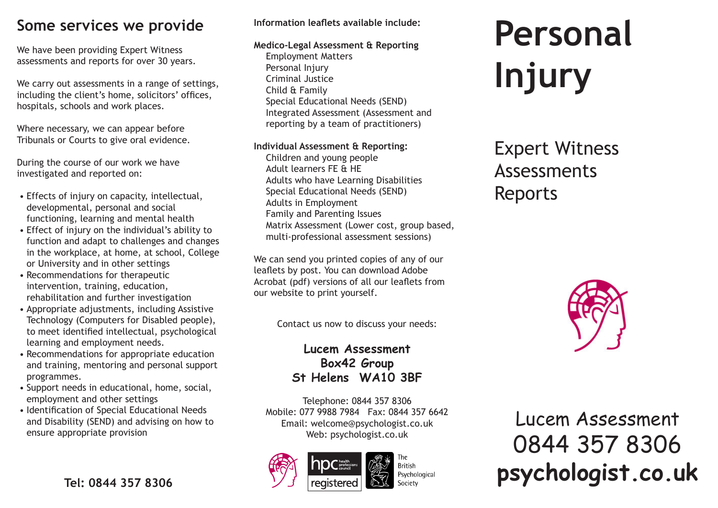## **Some services we provide**

We have been providing Expert Witness assessments and reports for over 30 years.

We carry out assessments in a range of settings, including the client's home, solicitors' offices, hospitals, schools and work places.

Where necessary, we can appear before Tribunals or Courts to give oral evidence.

During the course of our work we have investigated and reported on:

- Effects of injury on capacity, intellectual, developmental, personal and social functioning, learning and mental health
- Effect of injury on the individual's ability to function and adapt to challenges and changes in the workplace, at home, at school, College or University and in other settings
- Recommendations for therapeutic intervention, training, education, rehabilitation and further investigation
- Appropriate adjustments, including Assistive Technology (Computers for Disabled people), to meet identified intellectual, psychological learning and employment needs.
- Recommendations for appropriate education and training, mentoring and personal support programmes.
- Support needs in educational, home, social, employment and other settings
- Identification of Special Educational Needs and Disability (SEND) and advising on how to ensure appropriate provision

#### **Information leaflets available include:**

**Medico-Legal Assessment & Reporting**

Employment Matters Personal Injury Criminal Justice Child & Family Special Educational Needs (SEND) Integrated Assessment (Assessment and reporting by a team of practitioners)

#### **Individual Assessment & Reporting:**

Children and young people Adult learners FE & HE Adults who have Learning Disabilities Special Educational Needs (SEND) Adults in Employment Family and Parenting Issues Matrix Assessment (Lower cost, group based, multi-professional assessment sessions)

We can send you printed copies of any of our leaflets by post. You can download Adobe Acrobat (pdf) versions of all our leaflets from our website to print yourself.

Contact us now to discuss your needs:

### **Lucem Assessment Box42 Group St Helens WA10 3BF**

Telephone: 0844 357 8306 Mobile: 077 9988 7984 Fax: 0844 357 6642 Email: welcome@psychologist.co.uk Web: psychologist.co.uk





**Personal Injury**

# Expert Witness Assessments Reports



Lucem Assessment 0844 357 8306 **psychologist.co.uk Tel: 0844 357 8306 Side and the system of the system of the system of the system of the system of the system of**  $\bullet$  **section <b>psychologist.co.uk**